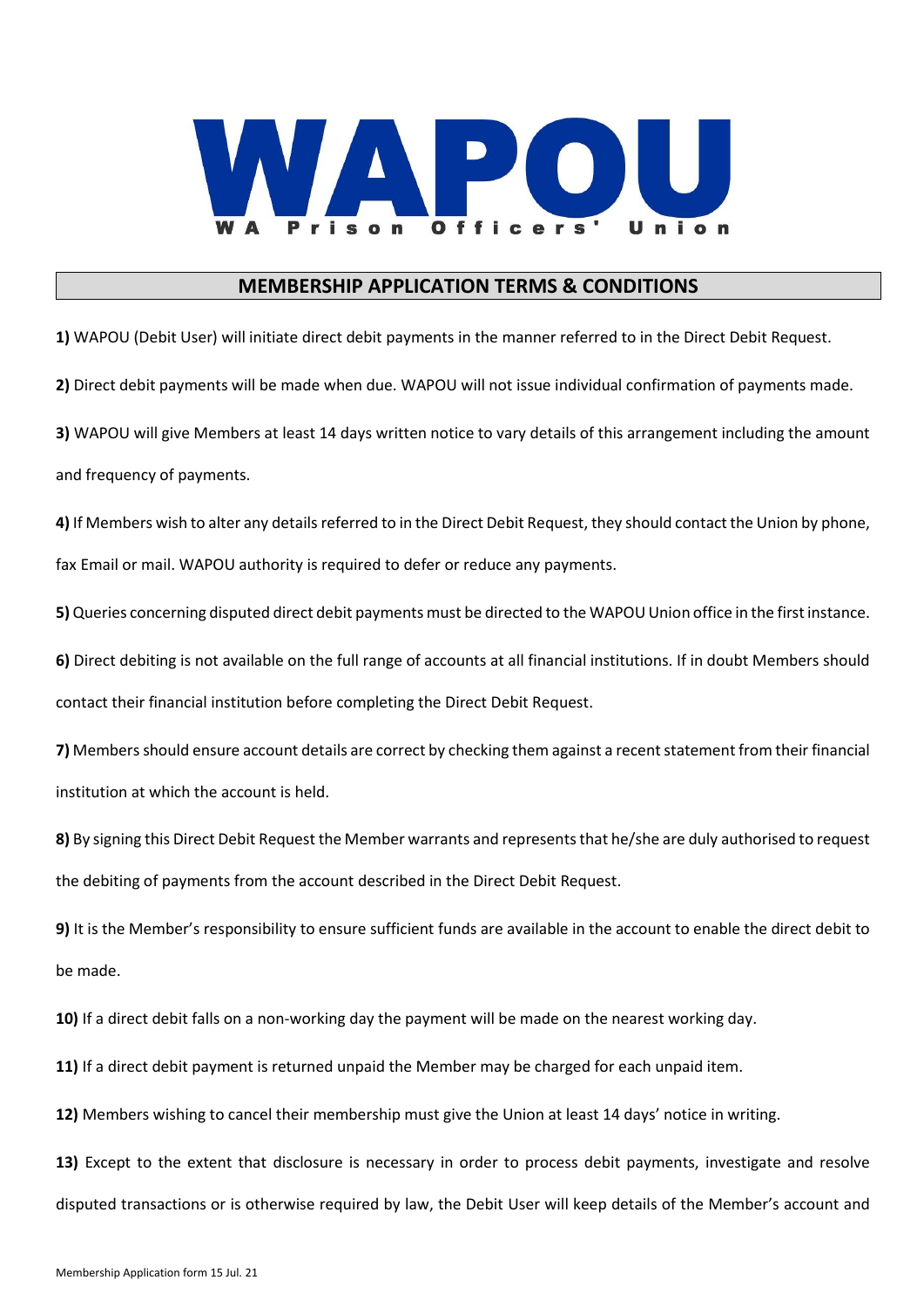

## MEMBERSHIP APPLICATION TERMS & CONDITIONS

1) WAPOU (Debit User) will initiate direct debit payments in the manner referred to in the Direct Debit Request. 2) Direct debit payments will be made when due. WAPOU will not issue individual confirmation of payments made. 3) WAPOU will give Members at least 14 days written notice to vary details of this arrangement including the amount and frequency of payments.

4) If Members wish to alter any details referred to in the Direct Debit Request, they should contact the Union by phone, fax Email or mail. WAPOU authority is required to defer or reduce any payments.

5) Queries concerning disputed direct debit payments must be directed to the WAPOU Union office in the first instance.

6) Direct debiting is not available on the full range of accounts at all financial institutions. If in doubt Members should contact their financial institution before completing the Direct Debit Request.

7) Members should ensure account details are correct by checking them against a recent statement from their financial institution at which the account is held.

8) By signing this Direct Debit Request the Member warrants and represents that he/she are duly authorised to request the debiting of payments from the account described in the Direct Debit Request.

9) It is the Member's responsibility to ensure sufficient funds are available in the account to enable the direct debit to be made.

10) If a direct debit falls on a non-working day the payment will be made on the nearest working day.

11) If a direct debit payment is returned unpaid the Member may be charged for each unpaid item.

12) Members wishing to cancel their membership must give the Union at least 14 days' notice in writing.

13) Except to the extent that disclosure is necessary in order to process debit payments, investigate and resolve disputed transactions or is otherwise required by law, the Debit User will keep details of the Member's account and